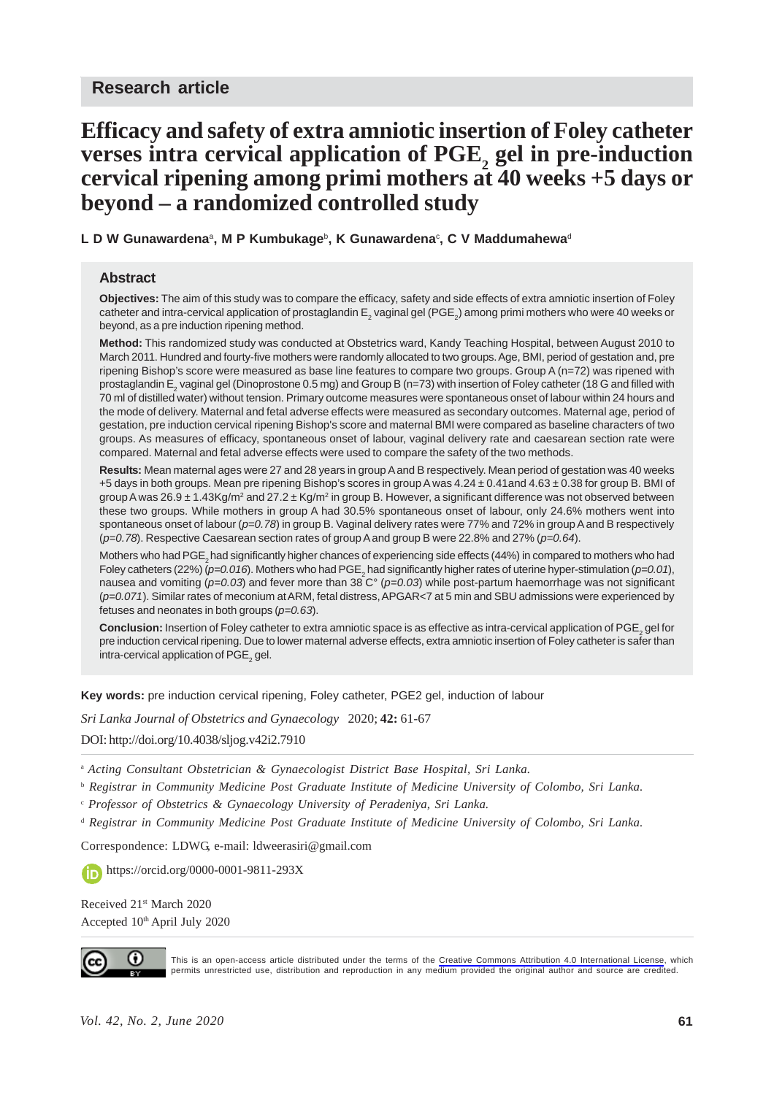# **Efficacy and safety of extra amniotic insertion of Foley catheter** verses intra cervical application of PGE<sub>2</sub> gel in pre-induction **cervical ripening among primi mothers at 40 weeks +5 days or beyond – a randomized controlled study**

**L D W Gunawardena**a**, M P Kumbukage**b**, K Gunawardena**<sup>c</sup> **, C V Maddumahewa**<sup>d</sup>

#### **Abstract**

**Objectives:** The aim of this study was to compare the efficacy, safety and side effects of extra amniotic insertion of Foley catheter and intra-cervical application of prostaglandin E<sub>2</sub> vaginal gel (PGE<sub>2</sub>) among primi mothers who were 40 weeks or beyond, as a pre induction ripening method.

**Method:** This randomized study was conducted at Obstetrics ward, Kandy Teaching Hospital, between August 2010 to March 2011. Hundred and fourty-five mothers were randomly allocated to two groups. Age, BMI, period of gestation and, pre ripening Bishop's score were measured as base line features to compare two groups. Group A (n=72) was ripened with prostaglandin E<sub>2</sub> vaginal gel (Dinoprostone 0.5 mg) and Group B (n=73) with insertion of Foley catheter (18 G and filled with 70 ml of distilled water) without tension. Primary outcome measures were spontaneous onset of labour within 24 hours and the mode of delivery. Maternal and fetal adverse effects were measured as secondary outcomes. Maternal age, period of gestation, pre induction cervical ripening Bishop's score and maternal BMI were compared as baseline characters of two groups. As measures of efficacy, spontaneous onset of labour, vaginal delivery rate and caesarean section rate were compared. Maternal and fetal adverse effects were used to compare the safety of the two methods.

**Results:** Mean maternal ages were 27 and 28 years in group A and B respectively. Mean period of gestation was 40 weeks +5 days in both groups. Mean pre ripening Bishop's scores in group A was 4.24 ± 0.41and 4.63 ± 0.38 for group B. BMI of group A was 26.9  $\pm$  1.43Kg/m<sup>2</sup> and 27.2  $\pm$  Kg/m<sup>2</sup> in group B. However, a significant difference was not observed between these two groups. While mothers in group A had 30.5% spontaneous onset of labour, only 24.6% mothers went into spontaneous onset of labour (*p=0.78*) in group B. Vaginal delivery rates were 77% and 72% in group A and B respectively (*p=0.78*). Respective Caesarean section rates of group A and group B were 22.8% and 27% (*p=0.64*).

Mothers who had PGE<sub>2</sub> had significantly higher chances of experiencing side effects (44%) in compared to mothers who had Foley catheters (22%) (*p*=0.016). Mothers who had PGE<sub>2</sub> had significantly higher rates of uterine hyper-stimulation (*p*=0.01), nausea and vomiting (*p=0.03*) and fever more than 38 C° (*p=0.03*) while post-partum haemorrhage was not significant (*p=0.071*). Similar rates of meconium at ARM, fetal distress, APGAR<7 at 5 min and SBU admissions were experienced by fetuses and neonates in both groups (*p=0.63*).

**Conclusion:** Insertion of Foley catheter to extra amniotic space is as effective as intra-cervical application of PGE<sub>2</sub> gel for pre induction cervical ripening. Due to lower maternal adverse effects, extra amniotic insertion of Foley catheter is safer than intra-cervical application of  $\mathsf{PGE}_2$  gel.

**Key words:** pre induction cervical ripening, Foley catheter, PGE2 gel, induction of labour

*Sri Lanka Journal of Obstetrics and Gynaecology* 2020; **42:** 61-67

DOI: http://doi.org/10.4038/sljog.v42i2.7910

<sup>a</sup> *Acting Consultant Obstetrician & Gynaecologist District Base Hospital, Sri Lanka.*

b  *Registrar in Community Medicine Post Graduate Institute of Medicine University of Colombo, Sri Lanka.*

c  *Professor of Obstetrics & Gynaecology University of Peradeniya, Sri Lanka.*

d  *Registrar in Community Medicine Post Graduate Institute of Medicine University of Colombo, Sri Lanka.*

Correspondence: LDWG, e-mail: ldweerasiri@gmail.com

https://orcid.org/0000-0001-9811-293X

Received 21<sup>st</sup> March 2020 Accepted 10th April July 2020



This is an open-access article distributed under the terms of the [Creative Commons Attribution 4.0 International License](https://creativecommons.org/licenses/by/4.0/), which permits unrestricted use, distribution and reproduction in any medium provided the original author and source are credited.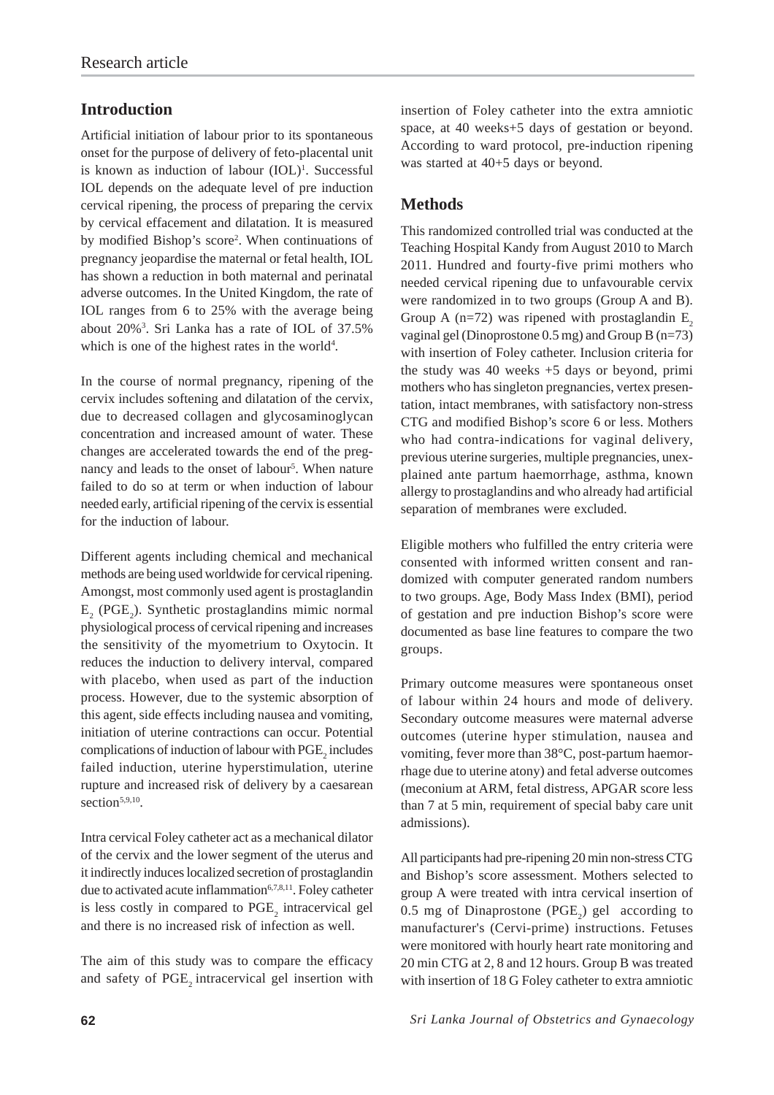## **Introduction**

Artificial initiation of labour prior to its spontaneous onset for the purpose of delivery of feto-placental unit is known as induction of labour (IOL)<sup>1</sup>. Successful IOL depends on the adequate level of pre induction cervical ripening, the process of preparing the cervix by cervical effacement and dilatation. It is measured by modified Bishop's score<sup>2</sup>. When continuations of pregnancy jeopardise the maternal or fetal health, IOL has shown a reduction in both maternal and perinatal adverse outcomes. In the United Kingdom, the rate of IOL ranges from 6 to 25% with the average being about 20%3 . Sri Lanka has a rate of IOL of 37.5% which is one of the highest rates in the world<sup>4</sup>.

In the course of normal pregnancy, ripening of the cervix includes softening and dilatation of the cervix, due to decreased collagen and glycosaminoglycan concentration and increased amount of water. These changes are accelerated towards the end of the pregnancy and leads to the onset of labour<sup>5</sup>. When nature failed to do so at term or when induction of labour needed early, artificial ripening of the cervix is essential for the induction of labour.

Different agents including chemical and mechanical methods are being used worldwide for cervical ripening. Amongst, most commonly used agent is prostaglandin  $E_2$  (PGE<sub>2</sub>). Synthetic prostaglandins mimic normal physiological process of cervical ripening and increases the sensitivity of the myometrium to Oxytocin. It reduces the induction to delivery interval, compared with placebo, when used as part of the induction process. However, due to the systemic absorption of this agent, side effects including nausea and vomiting, initiation of uterine contractions can occur. Potential complications of induction of labour with  $\mathrm{PGE}_2$  includes failed induction, uterine hyperstimulation, uterine rupture and increased risk of delivery by a caesarean section<sup>5,9,10</sup>.

Intra cervical Foley catheter act as a mechanical dilator of the cervix and the lower segment of the uterus and it indirectly induces localized secretion of prostaglandin due to activated acute inflammation $6,7,8,11$ . Foley catheter is less costly in compared to  $PGE_{2}$  intracervical gel and there is no increased risk of infection as well.

The aim of this study was to compare the efficacy and safety of PGE<sub>2</sub> intracervical gel insertion with insertion of Foley catheter into the extra amniotic space, at 40 weeks+5 days of gestation or beyond. According to ward protocol, pre-induction ripening was started at 40+5 days or beyond.

## **Methods**

This randomized controlled trial was conducted at the Teaching Hospital Kandy from August 2010 to March 2011. Hundred and fourty-five primi mothers who needed cervical ripening due to unfavourable cervix were randomized in to two groups (Group A and B). Group A ( $n=72$ ) was ripened with prostaglandin E<sub>2</sub> vaginal gel (Dinoprostone 0.5 mg) and Group B (n=73) with insertion of Foley catheter. Inclusion criteria for the study was 40 weeks +5 days or beyond, primi mothers who has singleton pregnancies, vertex presentation, intact membranes, with satisfactory non-stress CTG and modified Bishop's score 6 or less. Mothers who had contra-indications for vaginal delivery, previous uterine surgeries, multiple pregnancies, unexplained ante partum haemorrhage, asthma, known allergy to prostaglandins and who already had artificial separation of membranes were excluded.

Eligible mothers who fulfilled the entry criteria were consented with informed written consent and randomized with computer generated random numbers to two groups. Age, Body Mass Index (BMI), period of gestation and pre induction Bishop's score were documented as base line features to compare the two groups.

Primary outcome measures were spontaneous onset of labour within 24 hours and mode of delivery. Secondary outcome measures were maternal adverse outcomes (uterine hyper stimulation, nausea and vomiting, fever more than 38°C, post-partum haemorrhage due to uterine atony) and fetal adverse outcomes (meconium at ARM, fetal distress, APGAR score less than 7 at 5 min, requirement of special baby care unit admissions).

All participants had pre-ripening 20 min non-stress CTG and Bishop's score assessment. Mothers selected to group A were treated with intra cervical insertion of 0.5 mg of Dinaprostone (PGE<sub>2</sub>) gel according to manufacturer's (Cervi-prime) instructions. Fetuses were monitored with hourly heart rate monitoring and 20 min CTG at 2, 8 and 12 hours. Group B was treated with insertion of 18 G Foley catheter to extra amniotic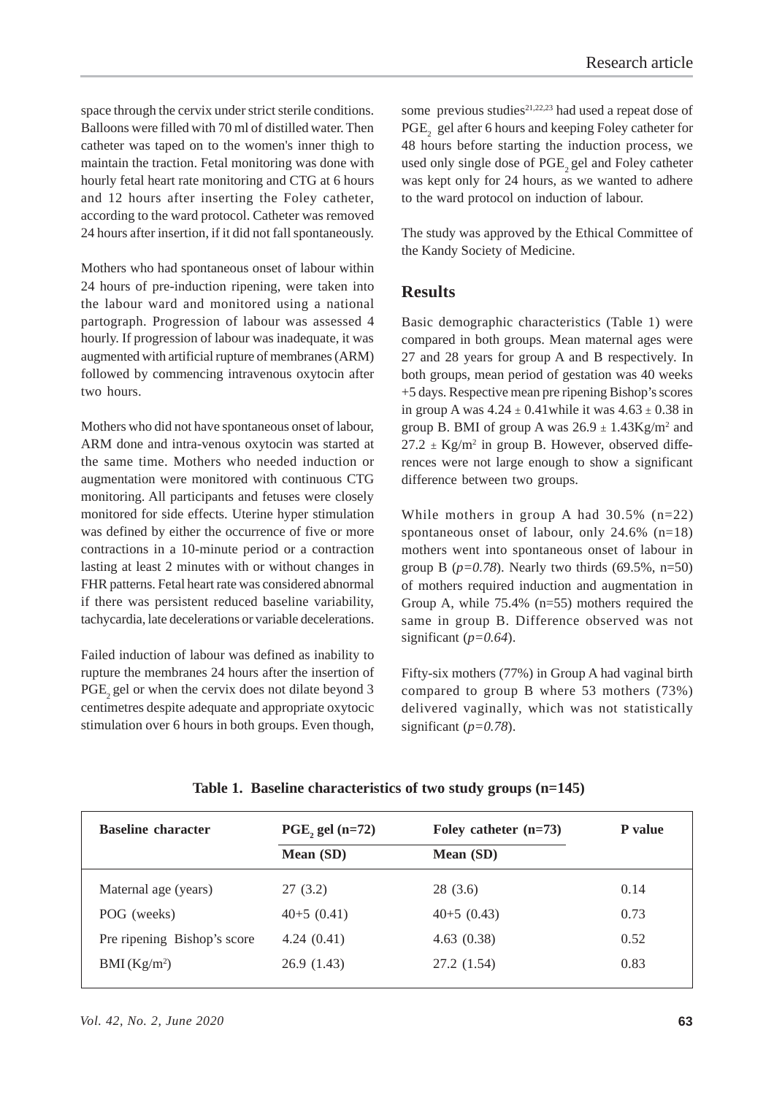space through the cervix under strict sterile conditions. Balloons were filled with 70 ml of distilled water. Then catheter was taped on to the women's inner thigh to maintain the traction. Fetal monitoring was done with hourly fetal heart rate monitoring and CTG at 6 hours and 12 hours after inserting the Foley catheter, according to the ward protocol. Catheter was removed 24 hours after insertion, if it did not fall spontaneously.

Mothers who had spontaneous onset of labour within 24 hours of pre-induction ripening, were taken into the labour ward and monitored using a national partograph. Progression of labour was assessed 4 hourly. If progression of labour was inadequate, it was augmented with artificial rupture of membranes (ARM) followed by commencing intravenous oxytocin after two hours.

Mothers who did not have spontaneous onset of labour, ARM done and intra-venous oxytocin was started at the same time. Mothers who needed induction or augmentation were monitored with continuous CTG monitoring. All participants and fetuses were closely monitored for side effects. Uterine hyper stimulation was defined by either the occurrence of five or more contractions in a 10-minute period or a contraction lasting at least 2 minutes with or without changes in FHR patterns. Fetal heart rate was considered abnormal if there was persistent reduced baseline variability, tachycardia, late decelerations or variable decelerations.

Failed induction of labour was defined as inability to rupture the membranes 24 hours after the insertion of PGE, gel or when the cervix does not dilate beyond 3 centimetres despite adequate and appropriate oxytocic stimulation over 6 hours in both groups. Even though,

some previous studies<sup>21,22,23</sup> had used a repeat dose of  $\mathrm{PGE}_2$  gel after 6 hours and keeping Foley catheter for 48 hours before starting the induction process, we used only single dose of PGE<sub>2</sub> gel and Foley catheter was kept only for 24 hours, as we wanted to adhere to the ward protocol on induction of labour.

The study was approved by the Ethical Committee of the Kandy Society of Medicine.

### **Results**

Basic demographic characteristics (Table 1) were compared in both groups. Mean maternal ages were 27 and 28 years for group A and B respectively. In both groups, mean period of gestation was 40 weeks +5 days. Respective mean pre ripening Bishop's scores in group A was  $4.24 \pm 0.41$  while it was  $4.63 \pm 0.38$  in group B. BMI of group A was  $26.9 \pm 1.43$ Kg/m<sup>2</sup> and  $27.2 \pm \text{Kg/m}^2$  in group B. However, observed differences were not large enough to show a significant difference between two groups.

While mothers in group A had 30.5% (n=22) spontaneous onset of labour, only 24.6% (n=18) mothers went into spontaneous onset of labour in group B ( $p=0.78$ ). Nearly two thirds (69.5%,  $n=50$ ) of mothers required induction and augmentation in Group A, while 75.4% (n=55) mothers required the same in group B. Difference observed was not significant (*p=0.64*).

Fifty-six mothers (77%) in Group A had vaginal birth compared to group B where 53 mothers (73%) delivered vaginally, which was not statistically significant  $(p=0.78)$ .

| <b>Baseline character</b>   | $PGE$ , gel (n=72) | Foley catheter $(n=73)$ | <b>P</b> value |
|-----------------------------|--------------------|-------------------------|----------------|
|                             | Mean (SD)          | <b>Mean</b> (SD)        |                |
| Maternal age (years)        | 27(3.2)            | 28 (3.6)                | 0.14           |
| POG (weeks)                 | $40+5(0.41)$       | $40+5(0.43)$            | 0.73           |
| Pre ripening Bishop's score | 4.24(0.41)         | 4.63(0.38)              | 0.52           |
| BMI (Kg/m <sup>2</sup> )    | 26.9(1.43)         | 27.2 (1.54)             | 0.83           |

**Table 1. Baseline characteristics of two study groups (n=145)**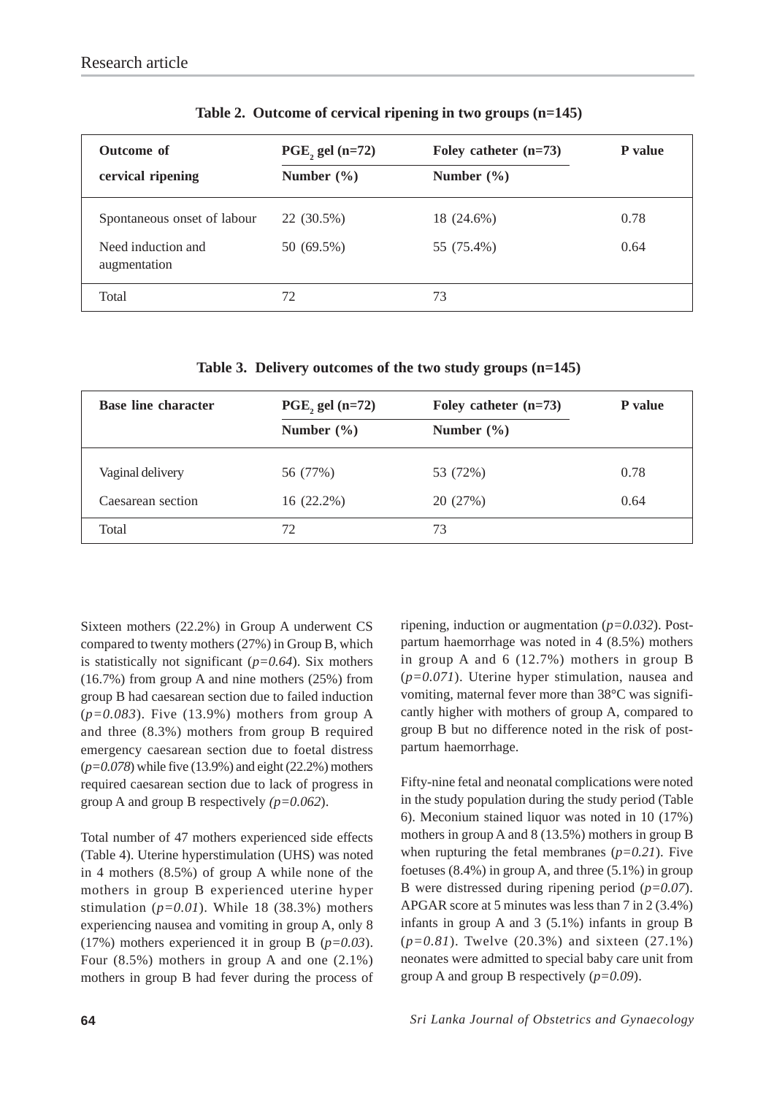| <b>Outcome of</b><br>cervical ripening | $PGE$ , gel (n=72)<br>Number $(\% )$ | Foley catheter $(n=73)$<br>Number $(\% )$ | <b>P</b> value |
|----------------------------------------|--------------------------------------|-------------------------------------------|----------------|
| Spontaneous onset of labour            | 22 (30.5%)                           | 18 (24.6%)                                | 0.78           |
| Need induction and<br>augmentation     | 50 (69.5%)                           | 55 (75.4%)                                | 0.64           |
| Total                                  | 72                                   | 73                                        |                |

**Table 2. Outcome of cervical ripening in two groups (n=145)**

**Table 3. Delivery outcomes of the two study groups (n=145)**

| <b>Base line character</b> | $PGE$ , gel (n=72) | Foley catheter $(n=73)$ | <b>P</b> value |
|----------------------------|--------------------|-------------------------|----------------|
|                            | Number $(\% )$     | Number $(\% )$          |                |
| Vaginal delivery           | 56 (77%)           | 53 (72%)                | 0.78           |
| Caesarean section          | $16(22.2\%)$       | 20 (27%)                | 0.64           |
| Total                      | 72                 | 73                      |                |

Sixteen mothers (22.2%) in Group A underwent CS compared to twenty mothers (27%) in Group B, which is statistically not significant (*p=0.64*). Six mothers (16.7%) from group A and nine mothers (25%) from group B had caesarean section due to failed induction (*p=0.083*). Five (13.9%) mothers from group A and three (8.3%) mothers from group B required emergency caesarean section due to foetal distress (*p=0.078*) while five (13.9%) and eight (22.2%) mothers required caesarean section due to lack of progress in group A and group B respectively *(p=0.062*).

Total number of 47 mothers experienced side effects (Table 4). Uterine hyperstimulation (UHS) was noted in 4 mothers (8.5%) of group A while none of the mothers in group B experienced uterine hyper stimulation  $(p=0.01)$ . While 18 (38.3%) mothers experiencing nausea and vomiting in group A, only 8 (17%) mothers experienced it in group B (*p=0.03*). Four (8.5%) mothers in group A and one (2.1%) mothers in group B had fever during the process of ripening, induction or augmentation (*p=0.032*). Postpartum haemorrhage was noted in 4 (8.5%) mothers in group A and 6 (12.7%) mothers in group B (*p=0.071*). Uterine hyper stimulation, nausea and vomiting, maternal fever more than 38°C was significantly higher with mothers of group A, compared to group B but no difference noted in the risk of postpartum haemorrhage.

Fifty-nine fetal and neonatal complications were noted in the study population during the study period (Table 6). Meconium stained liquor was noted in 10 (17%) mothers in group A and 8 (13.5%) mothers in group B when rupturing the fetal membranes  $(p=0.21)$ . Five foetuses (8.4%) in group A, and three (5.1%) in group B were distressed during ripening period (*p=0.07*). APGAR score at 5 minutes was less than 7 in 2 (3.4%) infants in group A and 3 (5.1%) infants in group B (*p=0.81*). Twelve (20.3%) and sixteen (27.1%) neonates were admitted to special baby care unit from group A and group B respectively (*p=0.09*).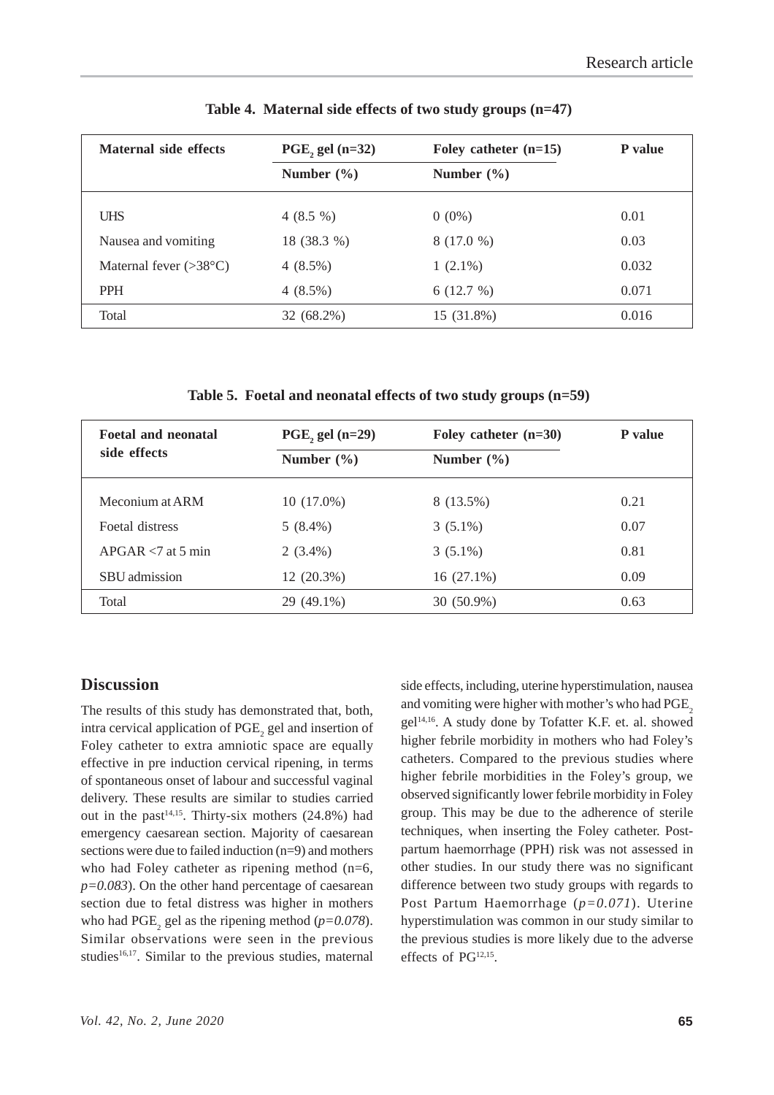| Maternal side effects           | PGE, gel $(n=32)$ | Foley catheter $(n=15)$ | <b>P</b> value |
|---------------------------------|-------------------|-------------------------|----------------|
|                                 | Number $(\% )$    | Number $(\% )$          |                |
| <b>UHS</b>                      | $4(8.5\%)$        | $0(0\%)$                | 0.01           |
| Nausea and vomiting             | 18 (38.3 %)       | 8 (17.0 %)              | 0.03           |
| Maternal fever $(>38^{\circ}C)$ | $4(8.5\%)$        | $1(2.1\%)$              | 0.032          |
| <b>PPH</b>                      | $4(8.5\%)$        | 6(12.7%)                | 0.071          |
| Total                           | 32 (68.2%)        | 15 (31.8%)              | 0.016          |

**Table 4. Maternal side effects of two study groups (n=47)**

**Table 5. Foetal and neonatal effects of two study groups (n=59)**

| <b>Foetal and neonatal</b><br>side effects | PGE, gel $(n=29)$ | Foley catheter $(n=30)$ | P value |
|--------------------------------------------|-------------------|-------------------------|---------|
|                                            | Number $(\% )$    | Number $(\% )$          |         |
|                                            |                   |                         |         |
| Meconium at ARM                            | $10(17.0\%)$      | 8 (13.5%)               | 0.21    |
| Foetal distress                            | $5(8.4\%)$        | $3(5.1\%)$              | 0.07    |
| $APGAR < 7$ at 5 min                       | $2(3.4\%)$        | $3(5.1\%)$              | 0.81    |
| SBU admission                              | 12 (20.3%)        | $16(27.1\%)$            | 0.09    |
| Total                                      | 29 (49.1%)        | 30 (50.9%)              | 0.63    |

#### **Discussion**

The results of this study has demonstrated that, both, intra cervical application of  $\mathrm{PGE}_2$  gel and insertion of Foley catheter to extra amniotic space are equally effective in pre induction cervical ripening, in terms of spontaneous onset of labour and successful vaginal delivery. These results are similar to studies carried out in the past<sup>14,15</sup>. Thirty-six mothers  $(24.8\%)$  had emergency caesarean section. Majority of caesarean sections were due to failed induction (n=9) and mothers who had Foley catheter as ripening method  $(n=6,$ *p=0.083*). On the other hand percentage of caesarean section due to fetal distress was higher in mothers who had  $PGE_2$  gel as the ripening method ( $p=0.078$ ). Similar observations were seen in the previous studies<sup>16,17</sup>. Similar to the previous studies, maternal side effects, including, uterine hyperstimulation, nausea and vomiting were higher with mother's who had PGE<sub>2</sub> gel14,16. A study done by Tofatter K.F. et. al. showed higher febrile morbidity in mothers who had Foley's catheters. Compared to the previous studies where higher febrile morbidities in the Foley's group, we observed significantly lower febrile morbidity in Foley group. This may be due to the adherence of sterile techniques, when inserting the Foley catheter. Postpartum haemorrhage (PPH) risk was not assessed in other studies. In our study there was no significant difference between two study groups with regards to Post Partum Haemorrhage (*p=0.071*). Uterine hyperstimulation was common in our study similar to the previous studies is more likely due to the adverse effects of PG12,15.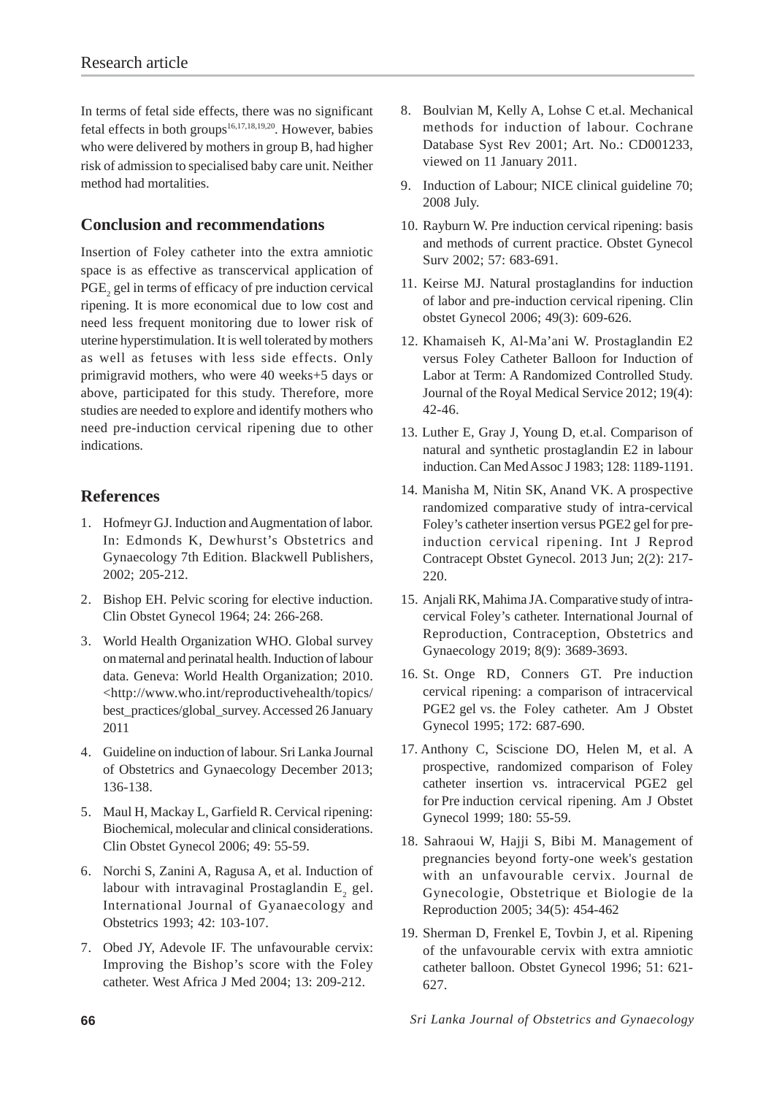In terms of fetal side effects, there was no significant fetal effects in both groups<sup>16,17,18,19,20</sup>. However, babies who were delivered by mothers in group B, had higher risk of admission to specialised baby care unit. Neither method had mortalities.

## **Conclusion and recommendations**

Insertion of Foley catheter into the extra amniotic space is as effective as transcervical application of  $\mathrm{PGE}_2$  gel in terms of efficacy of pre induction cervical ripening. It is more economical due to low cost and need less frequent monitoring due to lower risk of uterine hyperstimulation. It is well tolerated by mothers as well as fetuses with less side effects. Only primigravid mothers, who were 40 weeks+5 days or above, participated for this study. Therefore, more studies are needed to explore and identify mothers who need pre-induction cervical ripening due to other indications.

## **References**

- 1. Hofmeyr GJ. Induction and Augmentation of labor. In: Edmonds K, Dewhurst's Obstetrics and Gynaecology 7th Edition. Blackwell Publishers, 2002; 205-212.
- 2. Bishop EH. Pelvic scoring for elective induction. Clin Obstet Gynecol 1964; 24: 266-268.
- 3. World Health Organization WHO. Global survey on maternal and perinatal health. Induction of labour data. Geneva: World Health Organization; 2010. <http://www.who.int/reproductivehealth/topics/ best\_practices/global\_survey. Accessed 26 January 2011
- 4. Guideline on induction of labour. Sri Lanka Journal of Obstetrics and Gynaecology December 2013; 136-138.
- 5. Maul H, Mackay L, Garfield R. Cervical ripening: Biochemical, molecular and clinical considerations. Clin Obstet Gynecol 2006; 49: 55-59.
- 6. Norchi S, Zanini A, Ragusa A, et al. Induction of labour with intravaginal Prostaglandin  $E_{2}$  gel. International Journal of Gyanaecology and Obstetrics 1993; 42: 103-107.
- 7. Obed JY, Adevole IF. The unfavourable cervix: Improving the Bishop's score with the Foley catheter. West Africa J Med 2004; 13: 209-212.
- 8. Boulvian M, Kelly A, Lohse C et.al. Mechanical methods for induction of labour. Cochrane Database Syst Rev 2001; Art. No.: CD001233, viewed on 11 January 2011.
- 9. Induction of Labour; NICE clinical guideline 70; 2008 July.
- 10. Rayburn W. Pre induction cervical ripening: basis and methods of current practice. Obstet Gynecol Surv 2002; 57: 683-691.
- 11. Keirse MJ. Natural prostaglandins for induction of labor and pre-induction cervical ripening. Clin obstet Gynecol 2006; 49(3): 609-626.
- 12. Khamaiseh K, Al-Ma'ani W. Prostaglandin E2 versus Foley Catheter Balloon for Induction of Labor at Term: A Randomized Controlled Study. Journal of the Royal Medical Service 2012; 19(4): 42-46.
- 13. Luther E, Gray J, Young D, et.al. Comparison of natural and synthetic prostaglandin E2 in labour induction. Can Med Assoc J 1983; 128: 1189-1191.
- 14. Manisha M, Nitin SK, Anand VK. A prospective randomized comparative study of intra-cervical Foley's catheter insertion versus PGE2 gel for preinduction cervical ripening. Int J Reprod Contracept Obstet Gynecol. 2013 Jun; 2(2): 217- 220.
- 15. Anjali RK, Mahima JA. Comparative study of intracervical Foley's catheter. International Journal of Reproduction, Contraception, Obstetrics and Gynaecology 2019; 8(9): 3689-3693.
- 16. St. Onge RD, Conners GT. Pre induction cervical ripening: a comparison of intracervical PGE2 gel vs. the Foley catheter. Am J Obstet Gynecol 1995; 172: 687-690.
- 17. Anthony C, Sciscione DO, Helen M, et al. A prospective, randomized comparison of Foley catheter insertion vs. intracervical PGE2 gel for Pre induction cervical ripening. Am J Obstet Gynecol 1999; 180: 55-59.
- 18. Sahraoui W, Hajji S, Bibi M. Management of pregnancies beyond forty-one week's gestation with an unfavourable cervix. Journal de Gynecologie, Obstetrique et Biologie de la Reproduction 2005; 34(5): 454-462
- 19. Sherman D, Frenkel E, Tovbin J, et al. Ripening of the unfavourable cervix with extra amniotic catheter balloon. Obstet Gynecol 1996; 51: 621- 627.